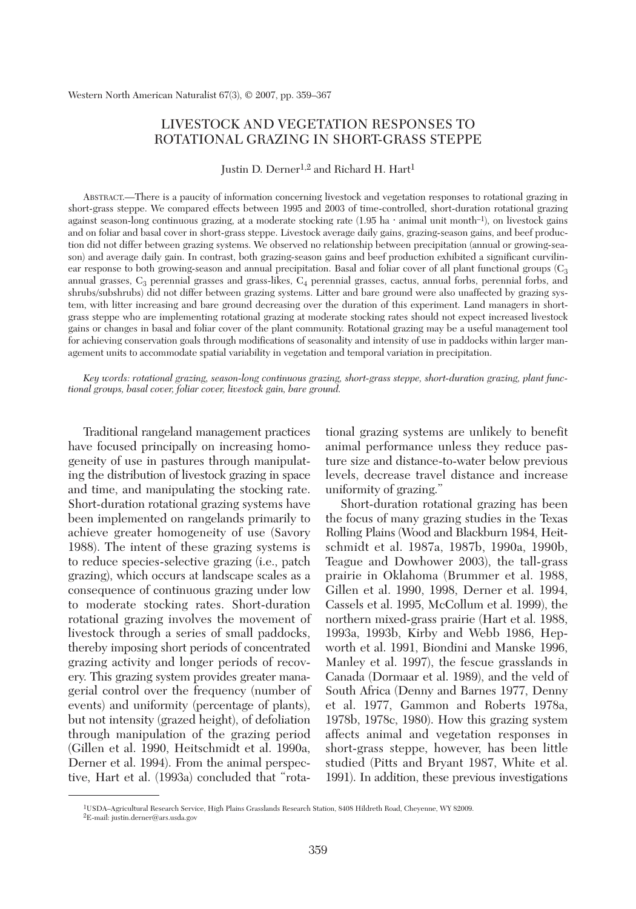# LIVESTOCK AND VEGETATION RESPONSES TO ROTATIONAL GRAZING IN SHORT-GRASS STEPPE

Justin D. Derner<sup>1,2</sup> and Richard H. Hart<sup>1</sup>

ABSTRACT.—There is a paucity of information concerning livestock and vegetation responses to rotational grazing in short-grass steppe. We compared effects between 1995 and 2003 of time-controlled, short-duration rotational grazing against season-long continuous grazing, at a moderate stocking rate  $(1.95 \text{ ha} \cdot \text{animal unit month}^{-1})$ , on livestock gains and on foliar and basal cover in short-grass steppe. Livestock average daily gains, grazing-season gains, and beef production did not differ between grazing systems. We observed no relationship between precipitation (annual or growing-season) and average daily gain. In contrast, both grazing-season gains and beef production exhibited a significant curvilinear response to both growing-season and annual precipitation. Basal and foliar cover of all plant functional groups  $(C_3)$ annual grasses,  $C_3$  perennial grasses and grass-likes,  $C_4$  perennial grasses, cactus, annual forbs, perennial forbs, and shrubs/subshrubs) did not differ between grazing systems. Litter and bare ground were also unaffected by grazing system, with litter increasing and bare ground decreasing over the duration of this experiment. Land managers in shortgrass steppe who are implementing rotational grazing at moderate stocking rates should not expect increased livestock gains or changes in basal and foliar cover of the plant community. Rotational grazing may be a useful management tool for achieving conservation goals through modifications of seasonality and intensity of use in paddocks within larger management units to accommodate spatial variability in vegetation and temporal variation in precipitation.

*Key words: rotational grazing, season-long continuous grazing, short-grass steppe, short-duration grazing, plant functional groups, basal cover, foliar cover, livestock gain, bare ground.*

Traditional rangeland management practices have focused principally on increasing homogeneity of use in pastures through manipulating the distribution of livestock grazing in space and time, and manipulating the stocking rate. Short-duration rotational grazing systems have been implemented on rangelands primarily to achieve greater homogeneity of use (Savory 1988). The intent of these grazing systems is to reduce species-selective grazing (i.e., patch grazing), which occurs at landscape scales as a consequence of continuous grazing under low to moderate stocking rates. Short-duration rotational grazing involves the movement of livestock through a series of small paddocks, thereby imposing short periods of concentrated grazing activity and longer periods of recovery. This grazing system provides greater managerial control over the frequency (number of events) and uniformity (percentage of plants), but not intensity (grazed height), of defoliation through manipulation of the grazing period (Gillen et al. 1990, Heitschmidt et al. 1990a, Derner et al. 1994). From the animal perspective, Hart et al. (1993a) concluded that "rotational grazing systems are unlikely to benefit animal performance unless they reduce pasture size and distance-to-water below previous levels, decrease travel distance and increase uniformity of grazing."

Short-duration rotational grazing has been the focus of many grazing studies in the Texas Rolling Plains (Wood and Blackburn 1984, Heitschmidt et al. 1987a, 1987b, 1990a, 1990b, Teague and Dowhower 2003), the tall-grass prairie in Oklahoma (Brummer et al. 1988, Gillen et al. 1990, 1998, Derner et al. 1994, Cassels et al. 1995, McCollum et al. 1999), the northern mixed-grass prairie (Hart et al. 1988, 1993a, 1993b, Kirby and Webb 1986, Hepworth et al. 1991, Biondini and Manske 1996, Manley et al. 1997), the fescue grasslands in Canada (Dormaar et al. 1989), and the veld of South Africa (Denny and Barnes 1977, Denny et al. 1977, Gammon and Roberts 1978a, 1978b, 1978c, 1980). How this grazing system affects animal and vegetation responses in short-grass steppe, however, has been little studied (Pitts and Bryant 1987, White et al. 1991). In addition, these previous investigations

<sup>1</sup>USDA–Agricultural Research Service, High Plains Grasslands Research Station, 8408 Hildreth Road, Cheyenne, WY 82009. 2E-mail: justin.derner@ars.usda.gov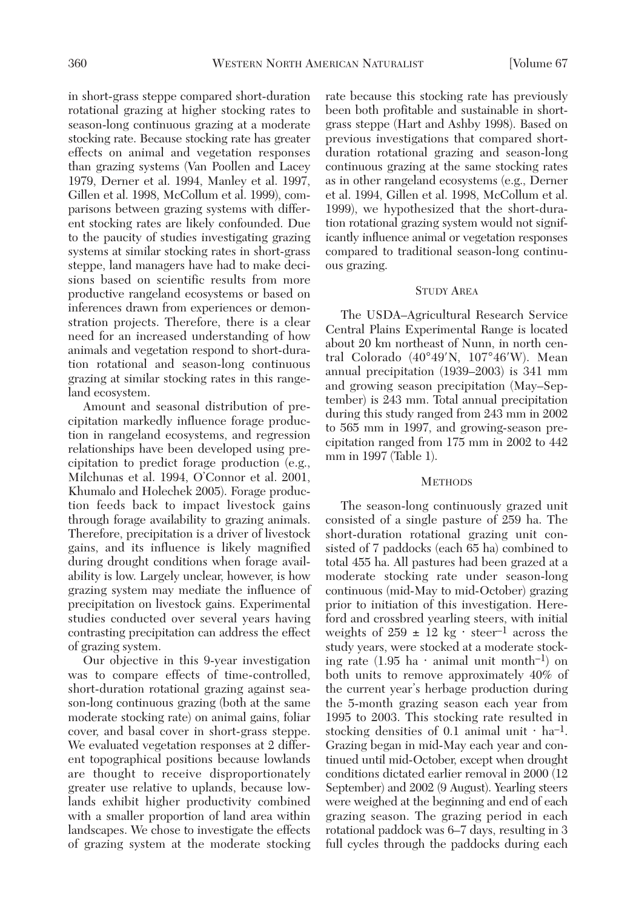in short-grass steppe compared short-duration rotational grazing at higher stocking rates to season-long continuous grazing at a moderate stocking rate. Because stocking rate has greater effects on animal and vegetation responses than grazing systems (Van Poollen and Lacey 1979, Derner et al. 1994, Manley et al. 1997, Gillen et al. 1998, McCollum et al. 1999), comparisons between grazing systems with different stocking rates are likely confounded. Due to the paucity of studies investigating grazing systems at similar stocking rates in short-grass steppe, land managers have had to make decisions based on scientific results from more productive rangeland ecosystems or based on inferences drawn from experiences or demonstration projects. Therefore, there is a clear need for an increased understanding of how animals and vegetation respond to short-duration rotational and season-long continuous grazing at similar stocking rates in this rangeland ecosystem.

Amount and seasonal distribution of precipitation markedly influence forage production in rangeland ecosystems, and regression relationships have been developed using precipitation to predict forage production (e.g., Milchunas et al. 1994, O'Connor et al. 2001, Khumalo and Holechek 2005). Forage production feeds back to impact livestock gains through forage availability to grazing animals. Therefore, precipitation is a driver of livestock gains, and its influence is likely magnified during drought conditions when forage availability is low. Largely unclear, however, is how grazing system may mediate the influence of precipitation on livestock gains. Experimental studies conducted over several years having contrasting precipitation can address the effect of grazing system.

Our objective in this 9-year investigation was to compare effects of time-controlled, short-duration rotational grazing against season-long continuous grazing (both at the same moderate stocking rate) on animal gains, foliar cover, and basal cover in short-grass steppe. We evaluated vegetation responses at 2 different topographical positions because lowlands are thought to receive disproportionately greater use relative to uplands, because lowlands exhibit higher productivity combined with a smaller proportion of land area within landscapes. We chose to investigate the effects of grazing system at the moderate stocking rate because this stocking rate has previously been both profitable and sustainable in shortgrass steppe (Hart and Ashby 1998). Based on previous investigations that compared shortduration rotational grazing and season-long continuous grazing at the same stocking rates as in other rangeland ecosystems (e.g., Derner et al. 1994, Gillen et al. 1998, McCollum et al. 1999), we hypothesized that the short-duration rotational grazing system would not significantly influence animal or vegetation responses compared to traditional season-long continuous grazing.

# STUDY AREA

The USDA–Agricultural Research Service Central Plains Experimental Range is located about 20 km northeast of Nunn, in north central Colorado (40°49′N, 107°46′W). Mean annual precipitation (1939–2003) is 341 mm and growing season precipitation (May–September) is 243 mm. Total annual precipitation during this study ranged from 243 mm in 2002 to 565 mm in 1997, and growing-season precipitation ranged from 175 mm in 2002 to 442 mm in 1997 (Table 1).

# **METHODS**

The season-long continuously grazed unit consisted of a single pasture of 259 ha. The short-duration rotational grazing unit consisted of 7 paddocks (each 65 ha) combined to total 455 ha. All pastures had been grazed at a moderate stocking rate under season-long continuous (mid-May to mid-October) grazing prior to initiation of this investigation. Hereford and crossbred yearling steers, with initial weights of  $259 \pm 12$  kg · steer<sup>-1</sup> across the study years, were stocked at a moderate stocking rate  $(1.95 \text{ ha} \cdot \text{animal unit month}^{-1})$  on both units to remove approximately 40% of the current year's herbage production during the 5-month grazing season each year from 1995 to 2003. This stocking rate resulted in stocking densities of 0.1 animal unit  $\cdot$  ha<sup>-1</sup>. Grazing began in mid-May each year and continued until mid-October, except when drought conditions dictated earlier removal in 2000 (12 September) and 2002 (9 August). Yearling steers were weighed at the beginning and end of each grazing season. The grazing period in each rotational paddock was 6–7 days, resulting in 3 full cycles through the paddocks during each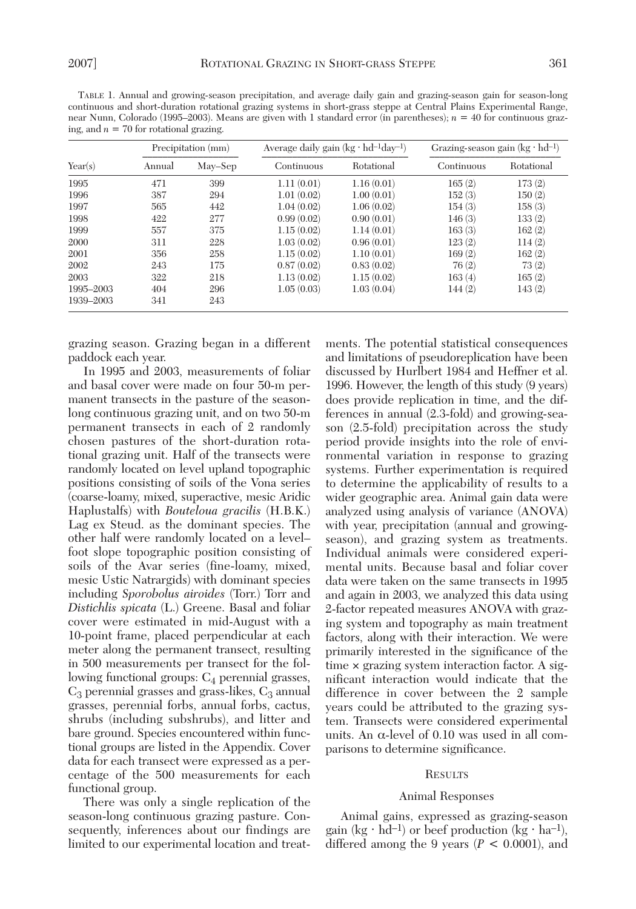TABLE 1. Annual and growing-season precipitation, and average daily gain and grazing-season gain for season-long continuous and short-duration rotational grazing systems in short-grass steppe at Central Plains Experimental Range, near Nunn, Colorado (1995–2003). Means are given with 1 standard error (in parentheses); *n* = 40 for continuous grazing, and  $n = 70$  for rotational grazing.

|           | Precipitation (mm) |         | Average daily gain $(kg \cdot hd^{-1}day^{-1})$ |            | Grazing-season gain $(kg \cdot hd^{-1})$ |            |
|-----------|--------------------|---------|-------------------------------------------------|------------|------------------------------------------|------------|
| Year(s)   | Annual             | May-Sep | Continuous                                      | Rotational | Continuous                               | Rotational |
| 1995      | 471                | 399     | 1.11(0.01)                                      | 1.16(0.01) | 165(2)                                   | 173(2)     |
| 1996      | 387                | 294     | 1.01(0.02)                                      | 1.00(0.01) | 152(3)                                   | 150(2)     |
| 1997      | 565                | 442     | 1.04(0.02)                                      | 1.06(0.02) | 154(3)                                   | 158(3)     |
| 1998      | 422                | 277     | 0.99(0.02)                                      | 0.90(0.01) | 146(3)                                   | 133(2)     |
| 1999      | 557                | 375     | 1.15(0.02)                                      | 1.14(0.01) | 163(3)                                   | 162(2)     |
| 2000      | 311                | 228     | 1.03(0.02)                                      | 0.96(0.01) | 123(2)                                   | 114(2)     |
| 2001      | 356                | 258     | 1.15(0.02)                                      | 1.10(0.01) | 169(2)                                   | 162(2)     |
| 2002      | 243                | 175     | 0.87(0.02)                                      | 0.83(0.02) | 76(2)                                    | 73(2)      |
| 2003      | 322                | 218     | 1.13(0.02)                                      | 1.15(0.02) | 163(4)                                   | 165(2)     |
| 1995-2003 | 404                | 296     | 1.05(0.03)                                      | 1.03(0.04) | 144(2)                                   | 143(2)     |
| 1939-2003 | 341                | 243     |                                                 |            |                                          |            |

grazing season. Grazing began in a different paddock each year.

In 1995 and 2003, measurements of foliar and basal cover were made on four 50-m permanent transects in the pasture of the seasonlong continuous grazing unit, and on two 50-m permanent transects in each of 2 randomly chosen pastures of the short-duration rotational grazing unit. Half of the transects were randomly located on level upland topographic positions consisting of soils of the Vona series (coarse-loamy, mixed, superactive, mesic Aridic Haplustalfs) with *Bouteloua gracilis* (H.B.K.) Lag ex Steud. as the dominant species. The other half were randomly located on a level– foot slope topographic position consisting of soils of the Avar series (fine-loamy, mixed, mesic Ustic Natrargids) with dominant species including *Sporobolus airoides* (Torr.) Torr and *Distichlis spicata* (L.) Greene. Basal and foliar cover were estimated in mid-August with a 10-point frame, placed perpendicular at each meter along the permanent transect, resulting in 500 measurements per transect for the following functional groups:  $C_4$  perennial grasses,  $C_3$  perennial grasses and grass-likes,  $C_3$  annual grasses, perennial forbs, annual forbs, cactus, shrubs (including subshrubs), and litter and bare ground. Species encountered within functional groups are listed in the Appendix. Cover data for each transect were expressed as a percentage of the 500 measurements for each functional group.

There was only a single replication of the season-long continuous grazing pasture. Consequently, inferences about our findings are limited to our experimental location and treat-

ments. The potential statistical consequences and limitations of pseudoreplication have been discussed by Hurlbert 1984 and Heffner et al. 1996. However, the length of this study (9 years) does provide replication in time, and the differences in annual (2.3-fold) and growing-season (2.5-fold) precipitation across the study period provide insights into the role of environmental variation in response to grazing systems. Further experimentation is required to determine the applicability of results to a wider geographic area. Animal gain data were analyzed using analysis of variance (ANOVA) with year, precipitation (annual and growingseason), and grazing system as treatments. Individual animals were considered experimental units. Because basal and foliar cover data were taken on the same transects in 1995 and again in 2003, we analyzed this data using 2-factor repeated measures ANOVA with grazing system and topography as main treatment factors, along with their interaction. We were primarily interested in the significance of the time × grazing system interaction factor. A significant interaction would indicate that the difference in cover between the 2 sample years could be attributed to the grazing system. Transects were considered experimental units. An  $α$ -level of  $0.10$  was used in all comparisons to determine significance.

#### **RESULTS**

## Animal Responses

Animal gains, expressed as grazing-season gain (kg · hd<sup>-1</sup>) or beef production (kg · ha<sup>-1</sup>), differed among the 9 years (*P* < 0.0001), and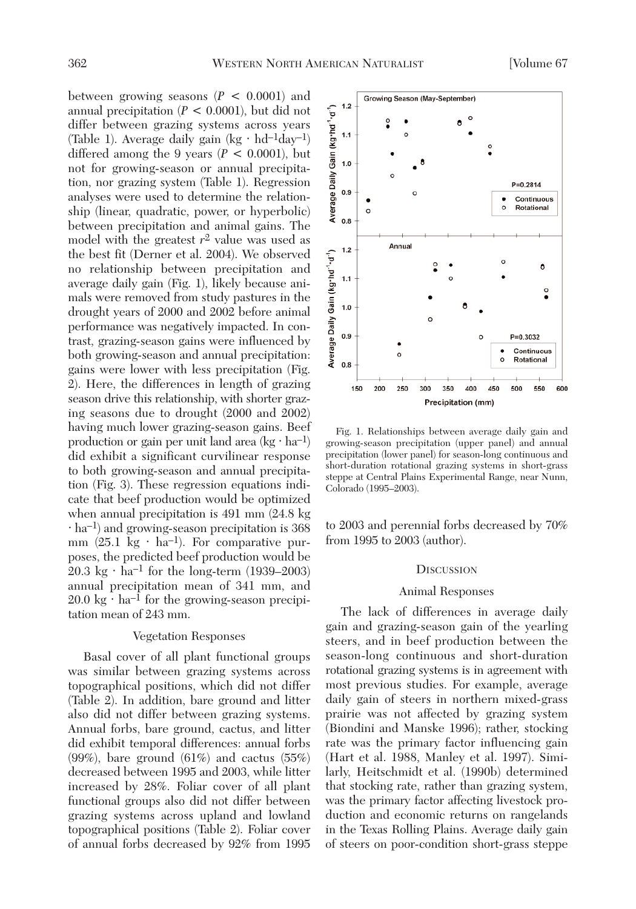between growing seasons (*P* < 0.0001) and annual precipitation (*P* < 0.0001), but did not differ between grazing systems across years (Table 1). Average daily gain  $(kg \cdot hd^{-1}day^{-1})$ differed among the 9 years  $(P < 0.0001)$ , but not for growing-season or annual precipitation, nor grazing system (Table 1). Regression analyses were used to determine the relationship (linear, quadratic, power, or hyperbolic) between precipitation and animal gains. The model with the greatest  $r^2$  value was used as the best fit (Derner et al. 2004). We observed no relationship between precipitation and average daily gain (Fig. 1), likely because animals were removed from study pastures in the drought years of 2000 and 2002 before animal performance was negatively impacted. In contrast, grazing-season gains were influenced by both growing-season and annual precipitation: gains were lower with less precipitation (Fig. 2). Here, the differences in length of grazing season drive this relationship, with shorter grazing seasons due to drought (2000 and 2002) having much lower grazing-season gains. Beef production or gain per unit land area (kg  $\cdot$  ha<sup>-1</sup>) did exhibit a significant curvilinear response to both growing-season and annual precipitation (Fig. 3). These regression equations indicate that beef production would be optimized when annual precipitation is 491 mm (24.8 kg  $\cdot$  ha<sup>-1</sup>) and growing-season precipitation is 368 mm  $(25.1 \text{ kg} \cdot \text{ha}^{-1})$ . For comparative purposes, the predicted beef production would be  $20.3 \text{ kg} \cdot \text{ha}^{-1}$  for the long-term (1939–2003) annual precipitation mean of 341 mm, and  $20.0 \text{ kg} \cdot \text{ha}^{-1}$  for the growing-season precipitation mean of 243 mm.

# Vegetation Responses

Basal cover of all plant functional groups was similar between grazing systems across topographical positions, which did not differ (Table 2). In addition, bare ground and litter also did not differ between grazing systems. Annual forbs, bare ground, cactus, and litter did exhibit temporal differences: annual forbs (99%), bare ground (61%) and cactus (55%) decreased between 1995 and 2003, while litter increased by 28%. Foliar cover of all plant functional groups also did not differ between grazing systems across upland and lowland topographical positions (Table 2). Foliar cover of annual forbs decreased by 92% from 1995

Fig. 1. Relationships between average daily gain and growing-season precipitation (upper panel) and annual precipitation (lower panel) for season-long continuous and short-duration rotational grazing systems in short-grass steppe at Central Plains Experimental Range, near Nunn, Colorado (1995–2003).

to 2003 and perennial forbs decreased by 70% from 1995 to 2003 (author).

#### **DISCUSSION**

## Animal Responses

The lack of differences in average daily gain and grazing-season gain of the yearling steers, and in beef production between the season-long continuous and short-duration rotational grazing systems is in agreement with most previous studies. For example, average daily gain of steers in northern mixed-grass prairie was not affected by grazing system (Biondini and Manske 1996); rather, stocking rate was the primary factor influencing gain (Hart et al. 1988, Manley et al. 1997). Similarly, Heitschmidt et al. (1990b) determined that stocking rate, rather than grazing system, was the primary factor affecting livestock production and economic returns on rangelands in the Texas Rolling Plains. Average daily gain of steers on poor-condition short-grass steppe

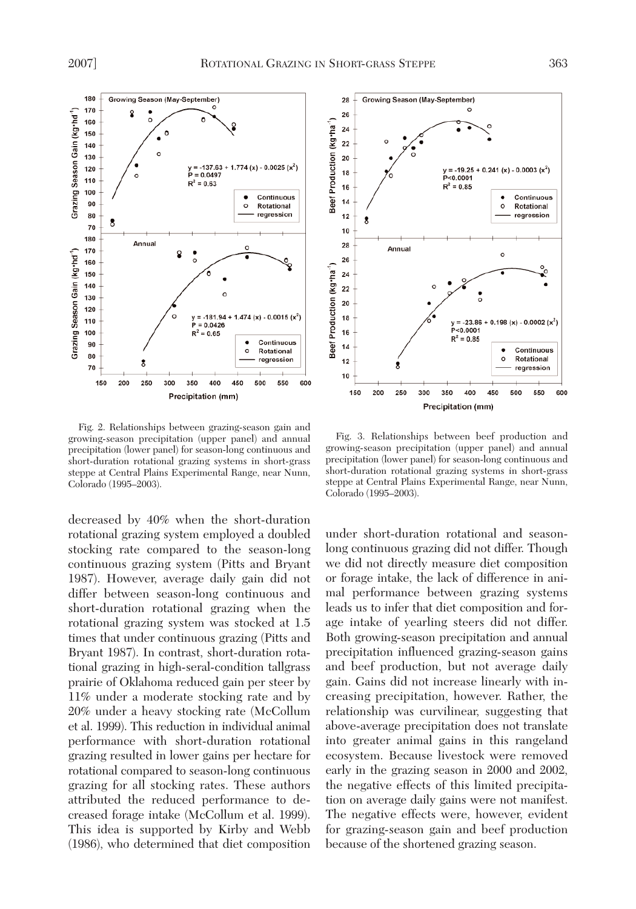Grazing Season Gain (kg·hd<sup>-1</sup>)

Grazing Season Gain (kg·hd<sup>-1</sup>)

70

150 200 250 300 350 400 450 500 550 600



Fig. 2. Relationships between grazing-season gain and growing-season precipitation (upper panel) and annual precipitation (lower panel) for season-long continuous and short-duration rotational grazing systems in short-grass steppe at Central Plains Experimental Range, near Nunn, Colorado (1995–2003).

Precipitation (mm)

decreased by 40% when the short-duration rotational grazing system employed a doubled stocking rate compared to the season-long continuous grazing system (Pitts and Bryant 1987). However, average daily gain did not differ between season-long continuous and short-duration rotational grazing when the rotational grazing system was stocked at 1.5 times that under continuous grazing (Pitts and Bryant 1987). In contrast, short-duration rotational grazing in high-seral-condition tallgrass prairie of Oklahoma reduced gain per steer by 11% under a moderate stocking rate and by 20% under a heavy stocking rate (McCollum et al. 1999). This reduction in individual animal performance with short-duration rotational grazing resulted in lower gains per hectare for rotational compared to season-long continuous grazing for all stocking rates. These authors attributed the reduced performance to decreased forage intake (McCollum et al. 1999). This idea is supported by Kirby and Webb (1986), who determined that diet composition



Fig. 3. Relationships between beef production and growing-season precipitation (upper panel) and annual precipitation (lower panel) for season-long continuous and short-duration rotational grazing systems in short-grass steppe at Central Plains Experimental Range, near Nunn, Colorado (1995–2003).

under short-duration rotational and seasonlong continuous grazing did not differ. Though we did not directly measure diet composition or forage intake, the lack of difference in animal performance between grazing systems leads us to infer that diet composition and forage intake of yearling steers did not differ. Both growing-season precipitation and annual precipitation influenced grazing-season gains and beef production, but not average daily gain. Gains did not increase linearly with increasing precipitation, however. Rather, the relationship was curvilinear, suggesting that above-average precipitation does not translate into greater animal gains in this rangeland ecosystem. Because livestock were removed early in the grazing season in 2000 and 2002, the negative effects of this limited precipitation on average daily gains were not manifest. The negative effects were, however, evident for grazing-season gain and beef production because of the shortened grazing season.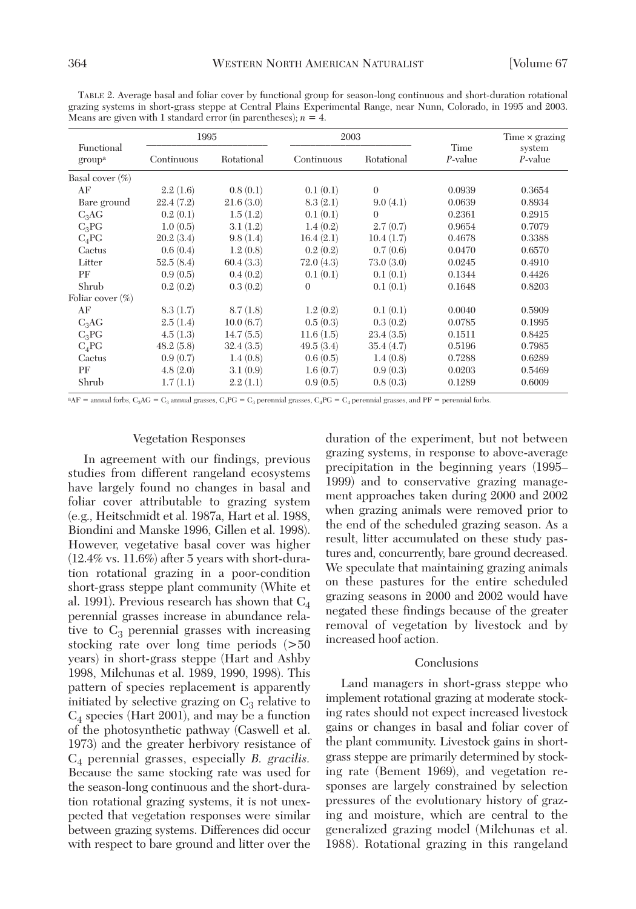TABLE 2. Average basal and foliar cover by functional group for season-long continuous and short-duration rotational grazing systems in short-grass steppe at Central Plains Experimental Range, near Nunn, Colorado, in 1995 and 2003. Means are given with 1 standard error (in parentheses);  $n = 4$ .

|                                  | 1995       |            | 2003       |            |                    | Time $\times$ grazing |
|----------------------------------|------------|------------|------------|------------|--------------------|-----------------------|
| Functional<br>group <sup>a</sup> | Continuous | Rotational | Continuous | Rotational | Time<br>$P$ -value | system<br>P-value     |
| Basal cover $(\%)$               |            |            |            |            |                    |                       |
| AF                               | 2.2(1.6)   | 0.8(0.1)   | 0.1(0.1)   | $\theta$   | 0.0939             | 0.3654                |
| Bare ground                      | 22.4(7.2)  | 21.6(3.0)  | 8.3(2.1)   | 9.0(4.1)   | 0.0639             | 0.8934                |
| $C_3AG$                          | 0.2(0.1)   | 1.5(1.2)   | 0.1(0.1)   | $\theta$   | 0.2361             | 0.2915                |
| $C_3PG$                          | 1.0(0.5)   | 3.1(1.2)   | 1.4(0.2)   | 2.7(0.7)   | 0.9654             | 0.7079                |
| $C_4$ PG                         | 20.2(3.4)  | 9.8(1.4)   | 16.4(2.1)  | 10.4(1.7)  | 0.4678             | 0.3388                |
| Cactus                           | 0.6(0.4)   | 1.2(0.8)   | 0.2(0.2)   | 0.7(0.6)   | 0.0470             | 0.6570                |
| Litter                           | 52.5(8.4)  | 60.4(3.3)  | 72.0(4.3)  | 73.0(3.0)  | 0.0245             | 0.4910                |
| PF                               | 0.9(0.5)   | 0.4(0.2)   | 0.1(0.1)   | 0.1(0.1)   | 0.1344             | 0.4426                |
| Shrub                            | 0.2(0.2)   | 0.3(0.2)   | $\theta$   | 0.1(0.1)   | 0.1648             | 0.8203                |
| Foliar cover $(\%)$              |            |            |            |            |                    |                       |
| AF                               | 8.3(1.7)   | 8.7(1.8)   | 1.2(0.2)   | 0.1(0.1)   | 0.0040             | 0.5909                |
| $C_3AG$                          | 2.5(1.4)   | 10.0(6.7)  | 0.5(0.3)   | 0.3(0.2)   | 0.0785             | 0.1995                |
| $C_3PG$                          | 4.5(1.3)   | 14.7(5.5)  | 11.6(1.5)  | 23.4(3.5)  | 0.1511             | 0.8425                |
| $C_4$ PG                         | 48.2(5.8)  | 32.4(3.5)  | 49.5(3.4)  | 35.4(4.7)  | 0.5196             | 0.7985                |
| Cactus                           | 0.9(0.7)   | 1.4(0.8)   | 0.6(0.5)   | 1.4(0.8)   | 0.7288             | 0.6289                |
| PF                               | 4.8(2.0)   | 3.1(0.9)   | 1.6(0.7)   | 0.9(0.3)   | 0.0203             | 0.5469                |
| Shrub                            | 1.7(1.1)   | 2.2(1.1)   | 0.9(0.5)   | 0.8(0.3)   | 0.1289             | 0.6009                |

 ${}^{a}AF$  = annual forbs, C<sub>3</sub>AG = C<sub>3</sub> annual grasses, C<sub>3</sub>PG = C<sub>3</sub> perennial grasses, C<sub>4</sub>PG = C<sub>4</sub> perennial grasses, and PF = perennial forbs.

# Vegetation Responses

In agreement with our findings, previous studies from different rangeland ecosystems have largely found no changes in basal and foliar cover attributable to grazing system (e.g., Heitschmidt et al. 1987a, Hart et al. 1988, Biondini and Manske 1996, Gillen et al. 1998). However, vegetative basal cover was higher (12.4% vs. 11.6%) after 5 years with short-duration rotational grazing in a poor-condition short-grass steppe plant community (White et al. 1991). Previous research has shown that  $C_4$ perennial grasses increase in abundance relative to  $C_3$  perennial grasses with increasing stocking rate over long time periods (>50 years) in short-grass steppe (Hart and Ashby 1998, Milchunas et al. 1989, 1990, 1998). This pattern of species replacement is apparently initiated by selective grazing on  $C_3$  relative to  $C_4$  species (Hart 2001), and may be a function of the photosynthetic pathway (Caswell et al. 1973) and the greater herbivory resistance of C4 perennial grasses, especially *B. gracilis.* Because the same stocking rate was used for the season-long continuous and the short-duration rotational grazing systems, it is not unexpected that vegetation responses were similar between grazing systems. Differences did occur with respect to bare ground and litter over the duration of the experiment, but not between grazing systems, in response to above-average precipitation in the beginning years (1995– 1999) and to conservative grazing management approaches taken during 2000 and 2002 when grazing animals were removed prior to the end of the scheduled grazing season. As a result, litter accumulated on these study pastures and, concurrently, bare ground decreased. We speculate that maintaining grazing animals on these pastures for the entire scheduled grazing seasons in 2000 and 2002 would have negated these findings because of the greater removal of vegetation by livestock and by increased hoof action.

# Conclusions

Land managers in short-grass steppe who implement rotational grazing at moderate stocking rates should not expect increased livestock gains or changes in basal and foliar cover of the plant community. Livestock gains in shortgrass steppe are primarily determined by stocking rate (Bement 1969), and vegetation responses are largely constrained by selection pressures of the evolutionary history of grazing and moisture, which are central to the generalized grazing model (Milchunas et al. 1988). Rotational grazing in this rangeland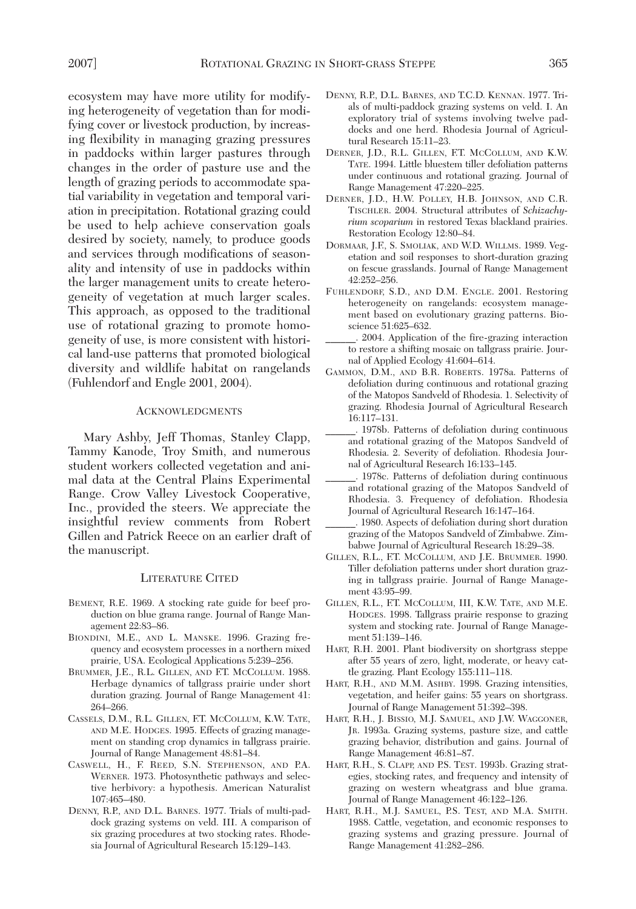ecosystem may have more utility for modifying heterogeneity of vegetation than for modifying cover or livestock production, by increasing flexibility in managing grazing pressures in paddocks within larger pastures through changes in the order of pasture use and the length of grazing periods to accommodate spatial variability in vegetation and temporal variation in precipitation. Rotational grazing could be used to help achieve conservation goals desired by society, namely, to produce goods and services through modifications of seasonality and intensity of use in paddocks within the larger management units to create heterogeneity of vegetation at much larger scales. This approach, as opposed to the traditional use of rotational grazing to promote homogeneity of use, is more consistent with historical land-use patterns that promoted biological diversity and wildlife habitat on rangelands (Fuhlendorf and Engle 2001, 2004).

# ACKNOWLEDGMENTS

Mary Ashby, Jeff Thomas, Stanley Clapp, Tammy Kanode, Troy Smith, and numerous student workers collected vegetation and animal data at the Central Plains Experimental Range. Crow Valley Livestock Cooperative, Inc., provided the steers. We appreciate the insightful review comments from Robert Gillen and Patrick Reece on an earlier draft of the manuscript.

#### LITERATURE CITED

- BEMENT, R.E. 1969. A stocking rate guide for beef production on blue grama range. Journal of Range Management 22:83–86.
- BIONDINI, M.E., AND L. MANSKE. 1996. Grazing frequency and ecosystem processes in a northern mixed prairie, USA. Ecological Applications 5:239–256.
- BRUMMER, J.E., R.L. GILLEN, AND F.T. MCCOLLUM. 1988. Herbage dynamics of tallgrass prairie under short duration grazing. Journal of Range Management 41: 264–266.
- CASSELS, D.M., R.L. GILLEN, F.T. MCCOLLUM, K.W. TATE, AND M.E. HODGES. 1995. Effects of grazing management on standing crop dynamics in tallgrass prairie. Journal of Range Management 48:81–84.
- CASWELL, H., F. REED, S.N. STEPHENSON, AND P.A. WERNER. 1973. Photosynthetic pathways and selective herbivory: a hypothesis. American Naturalist 107:465–480.
- DENNY, R.P., AND D.L. BARNES. 1977. Trials of multi-paddock grazing systems on veld. III. A comparison of six grazing procedures at two stocking rates. Rhodesia Journal of Agricultural Research 15:129–143.
- DENNY, R.P., D.L. BARNES, AND T.C.D. KENNAN. 1977. Trials of multi-paddock grazing systems on veld. I. An exploratory trial of systems involving twelve paddocks and one herd. Rhodesia Journal of Agricultural Research 15:11–23.
- DERNER, J.D., R.L. GILLEN, F.T. MCCOLLUM, AND K.W. TATE. 1994. Little bluestem tiller defoliation patterns under continuous and rotational grazing. Journal of Range Management 47:220–225.
- DERNER, J.D., H.W. POLLEY, H.B. JOHNSON, AND C.R. TISCHLER. 2004. Structural attributes of *Schizachyrium scoparium* in restored Texas blackland prairies. Restoration Ecology 12:80–84.
- DORMAAR, J.F., S. SMOLIAK, AND W.D. WILLMS. 1989. Vegetation and soil responses to short-duration grazing on fescue grasslands. Journal of Range Management 42:252–256.
- FUHLENDORF, S.D., AND D.M. ENGLE. 2001. Restoring heterogeneity on rangelands: ecosystem management based on evolutionary grazing patterns. Bioscience 51:625–632.
- \_\_\_\_\_\_. 2004. Application of the fire-grazing interaction to restore a shifting mosaic on tallgrass prairie. Journal of Applied Ecology 41:604–614.
- GAMMON, D.M., AND B.R. ROBERTS. 1978a. Patterns of defoliation during continuous and rotational grazing of the Matopos Sandveld of Rhodesia. 1. Selectivity of grazing. Rhodesia Journal of Agricultural Research 16:117–131.
- \_\_\_\_\_\_. 1978b. Patterns of defoliation during continuous and rotational grazing of the Matopos Sandveld of Rhodesia. 2. Severity of defoliation. Rhodesia Journal of Agricultural Research 16:133–145.
- \_\_\_\_\_\_. 1978c. Patterns of defoliation during continuous and rotational grazing of the Matopos Sandveld of Rhodesia. 3. Frequency of defoliation. Rhodesia Journal of Agricultural Research 16:147–164.
- \_\_\_\_\_\_. 1980. Aspects of defoliation during short duration grazing of the Matopos Sandveld of Zimbabwe. Zimbabwe Journal of Agricultural Research 18:29–38.
- GILLEN, R.L., F.T. MCCOLLUM, AND J.E. BRUMMER. 1990. Tiller defoliation patterns under short duration grazing in tallgrass prairie. Journal of Range Management 43:95–99.
- GILLEN, R.L., F.T. MCCOLLUM, III, K.W. TATE, AND M.E. HODGES. 1998. Tallgrass prairie response to grazing system and stocking rate. Journal of Range Management 51:139–146.
- HART, R.H. 2001. Plant biodiversity on shortgrass steppe after 55 years of zero, light, moderate, or heavy cattle grazing. Plant Ecology 155:111–118.
- HART, R.H., AND M.M. ASHBY. 1998. Grazing intensities, vegetation, and heifer gains: 55 years on shortgrass. Journal of Range Management 51:392–398.
- HART, R.H., J. BISSIO, M.J. SAMUEL, AND J.W. WAGGONER, JR. 1993a. Grazing systems, pasture size, and cattle grazing behavior, distribution and gains. Journal of Range Management 46:81–87.
- HART, R.H., S. CLAPP, AND P.S. TEST. 1993b. Grazing strategies, stocking rates, and frequency and intensity of grazing on western wheatgrass and blue grama. Journal of Range Management 46:122–126.
- HART, R.H., M.J. SAMUEL, P.S. TEST, AND M.A. SMITH. 1988. Cattle, vegetation, and economic responses to grazing systems and grazing pressure. Journal of Range Management 41:282–286.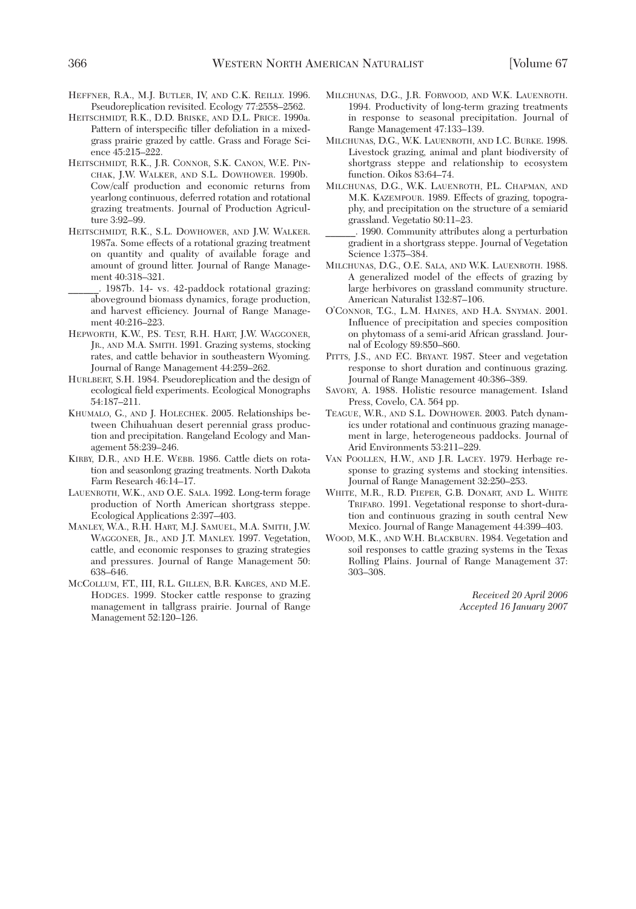- HEFFNER, R.A., M.J. BUTLER, IV, AND C.K. REILLY. 1996. Pseudoreplication revisited. Ecology 77:2558–2562.
- HEITSCHMIDT, R.K., D.D. BRISKE, AND D.L. PRICE. 1990a. Pattern of interspecific tiller defoliation in a mixedgrass prairie grazed by cattle. Grass and Forage Science 45:215–222.
- HEITSCHMIDT, R.K., J.R. CONNOR, S.K. CANON, W.E. PIN-CHAK, J.W. WALKER, AND S.L. DOWHOWER. 1990b. Cow/calf production and economic returns from yearlong continuous, deferred rotation and rotational grazing treatments. Journal of Production Agriculture 3:92–99.
- HEITSCHMIDT, R.K., S.L. DOWHOWER, AND J.W. WALKER. 1987a. Some effects of a rotational grazing treatment on quantity and quality of available forage and amount of ground litter. Journal of Range Management 40:318–321.
- \_\_\_\_\_\_. 1987b. 14- vs. 42-paddock rotational grazing: aboveground biomass dynamics, forage production, and harvest efficiency. Journal of Range Management 40:216–223.
- HEPWORTH, K.W., P.S. TEST, R.H. HART, J.W. WAGGONER, JR., AND M.A. SMITH. 1991. Grazing systems, stocking rates, and cattle behavior in southeastern Wyoming. Journal of Range Management 44:259–262.
- HURLBERT, S.H. 1984. Pseudoreplication and the design of ecological field experiments. Ecological Monographs 54:187–211.
- KHUMALO, G., AND J. HOLECHEK. 2005. Relationships between Chihuahuan desert perennial grass production and precipitation. Rangeland Ecology and Management 58:239–246.
- KIRBY, D.R., AND H.E. WEBB. 1986. Cattle diets on rotation and seasonlong grazing treatments. North Dakota Farm Research 46:14–17.
- LAUENROTH, W.K., AND O.E. SALA. 1992. Long-term forage production of North American shortgrass steppe. Ecological Applications 2:397–403.
- MANLEY, W.A., R.H. HART, M.J. SAMUEL, M.A. SMITH, J.W. WAGGONER, JR., AND J.T. MANLEY. 1997. Vegetation, cattle, and economic responses to grazing strategies and pressures. Journal of Range Management 50: 638–646.
- MCCOLLUM, F.T., III, R.L. GILLEN, B.R. KARGES, AND M.E. HODGES. 1999. Stocker cattle response to grazing management in tallgrass prairie. Journal of Range Management 52:120–126.
- MILCHUNAS, D.G., J.R. FORWOOD, AND W.K. LAUENROTH. 1994. Productivity of long-term grazing treatments in response to seasonal precipitation. Journal of Range Management 47:133–139.
- MILCHUNAS, D.G., W.K. LAUENROTH, AND I.C. BURKE. 1998. Livestock grazing, animal and plant biodiversity of shortgrass steppe and relationship to ecosystem function. Oikos 83:64–74.
- MILCHUNAS, D.G., W.K. LAUENROTH, P.L. CHAPMAN, AND M.K. KAZEMPOUR. 1989. Effects of grazing, topography, and precipitation on the structure of a semiarid grassland. Vegetatio 80:11–23.
- \_\_\_\_\_\_. 1990. Community attributes along a perturbation gradient in a shortgrass steppe. Journal of Vegetation Science 1:375–384.
- MILCHUNAS, D.G., O.E. SALA, AND W.K. LAUENROTH. 1988. A generalized model of the effects of grazing by large herbivores on grassland community structure. American Naturalist 132:87–106.
- O'CONNOR, T.G., L.M. HAINES, AND H.A. SNYMAN. 2001. Influence of precipitation and species composition on phytomass of a semi-arid African grassland. Journal of Ecology 89:850–860.
- PITTS, J.S., AND F.C. BRYANT. 1987. Steer and vegetation response to short duration and continuous grazing. Journal of Range Management 40:386–389.
- SAVORY, A. 1988. Holistic resource management. Island Press, Covelo, CA. 564 pp.
- TEAGUE, W.R., AND S.L. DOWHOWER. 2003. Patch dynamics under rotational and continuous grazing management in large, heterogeneous paddocks. Journal of Arid Environments 53:211–229.
- VAN POOLLEN, H.W., AND J.R. LACEY. 1979. Herbage response to grazing systems and stocking intensities. Journal of Range Management 32:250–253.
- WHITE, M.R., R.D. PIEPER, G.B. DONART, AND L. WHITE TRIFARO. 1991. Vegetational response to short-duration and continuous grazing in south central New Mexico. Journal of Range Management 44:399–403.
- WOOD, M.K., AND W.H. BLACKBURN. 1984. Vegetation and soil responses to cattle grazing systems in the Texas Rolling Plains. Journal of Range Management 37: 303–308.

*Received 20 April 2006 Accepted 16 January 2007*